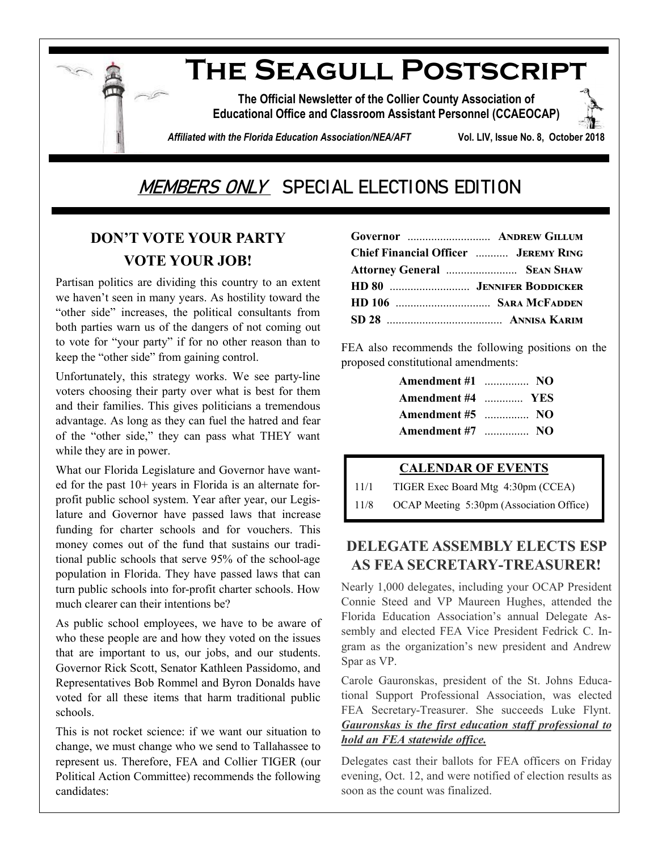

**The Official Newsletter of the Collier County Association of Educational Office and Classroom Assistant Personnel (CCAEOCAP)**

*Affiliated with the Florida Education Association/NEA/AFT* **Vol. LIV, Issue No. 8, October 2018**

# MEMBERS ONLY SPECIAL ELECTIONS EDITION

## **DON'T VOTE YOUR PARTY VOTE YOUR JOB!**

Partisan politics are dividing this country to an extent we haven't seen in many years. As hostility toward the "other side" increases, the political consultants from both parties warn us of the dangers of not coming out to vote for "your party" if for no other reason than to keep the "other side" from gaining control.

Unfortunately, this strategy works. We see party-line voters choosing their party over what is best for them and their families. This gives politicians a tremendous advantage. As long as they can fuel the hatred and fear of the "other side," they can pass what THEY want while they are in power.

What our Florida Legislature and Governor have wanted for the past 10+ years in Florida is an alternate forprofit public school system. Year after year, our Legislature and Governor have passed laws that increase funding for charter schools and for vouchers. This money comes out of the fund that sustains our traditional public schools that serve 95% of the school-age population in Florida. They have passed laws that can turn public schools into for-profit charter schools. How much clearer can their intentions be?

As public school employees, we have to be aware of who these people are and how they voted on the issues that are important to us, our jobs, and our students. Governor Rick Scott, Senator Kathleen Passidomo, and Representatives Bob Rommel and Byron Donalds have voted for all these items that harm traditional public schools.

This is not rocket science: if we want our situation to change, we must change who we send to Tallahassee to represent us. Therefore, FEA and Collier TIGER (our Political Action Committee) recommends the following candidates:

| Governor  ANDREW GILLUM                     |  |
|---------------------------------------------|--|
| <b>Chief Financial Officer  JEREMY RING</b> |  |
| Attorney General  SEAN SHAW                 |  |
|                                             |  |
|                                             |  |
|                                             |  |

FEA also recommends the following positions on the proposed constitutional amendments:

| <b>Amendment #1</b> NO |  |
|------------------------|--|
| Amendment #4  YES      |  |
| <b>Amendment #5</b> NO |  |
| <b>Amendment #7</b> NO |  |

#### **CALENDAR OF EVENTS**

11/1 TIGER Exec Board Mtg 4:30pm (CCEA)

11/8 OCAP Meeting 5:30pm (Association Office)

### **DELEGATE ASSEMBLY ELECTS ESP AS FEA SECRETARY-TREASURER!**

Nearly 1,000 delegates, including your OCAP President Connie Steed and VP Maureen Hughes, attended the Florida Education Association's annual Delegate Assembly and elected FEA Vice President Fedrick C. Ingram as the organization's new president and Andrew Spar as VP.

Carole Gauronskas, president of the St. Johns Educational Support Professional Association, was elected FEA Secretary-Treasurer. She succeeds Luke Flynt. *Gauronskas is the first education staff professional to hold an FEA statewide office.*

Delegates cast their ballots for FEA officers on Friday evening, Oct. 12, and were notified of election results as soon as the count was finalized.